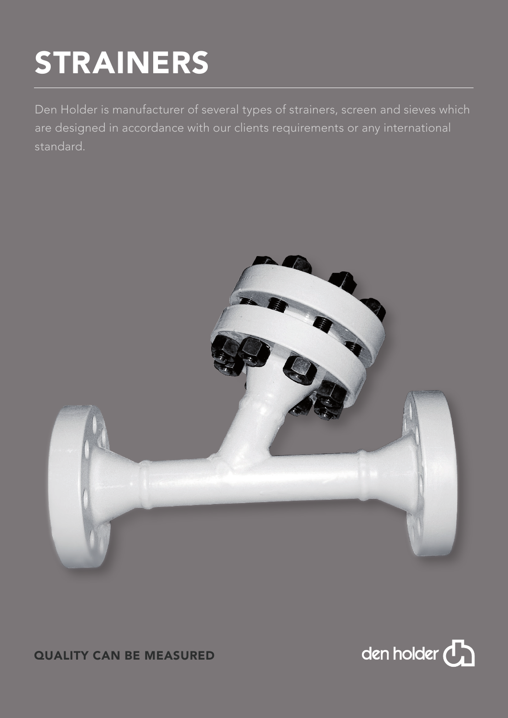# STRAINERS

Den Holder is manufacturer of several types of strainers, screen and sieves which are designed in accordance with our clients requirements or any international standard.





# QUALITY CAN BE MEASURED